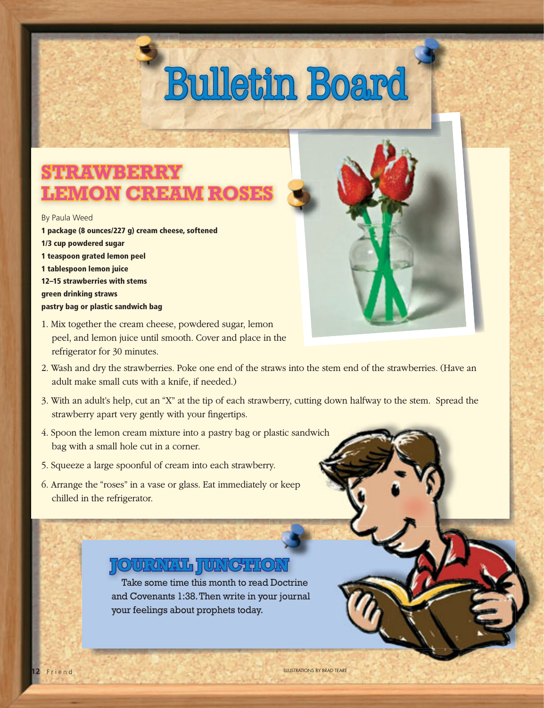## STRAWABER LEMON CREAM R

#### By Paula Weed

**1 package (8 ounces/227 g) cream cheese, softened 1/3 cup powdered sugar 1 teaspoon grated lemon peel 1 tablespoon lemon juice 12–15 strawberries with stems green drinking straws pastry bag or plastic sandwich bag**



- 1. Mix together the cream cheese, powdered sugar, lemon peel, and lemon juice until smooth. Cover and place in the refrigerator for 30 minutes.
- 2. Wash and dry the strawberries. Poke one end of the straws into the stem end of the strawberries. (Have an adult make small cuts with a knife, if needed.)
- 3. With an adult's help, cut an "X" at the tip of each strawberry, cutting down halfway to the stem. Spread the strawberry apart very gently with your fingertips.
- 4. Spoon the lemon cream mixture into a pastry bag or plastic sandwich bag with a small hole cut in a corner.
- 5. Squeeze a large spoonful of cream into each strawberry.
- 6. Arrange the "roses" in a vase or glass. Eat immediately or keep chilled in the refrigerator.

### **JURIAL LUNCTION**

Take some time this month to read Doctrine and Covenants 1:38. Then write in your journal your feelings about prophets today.